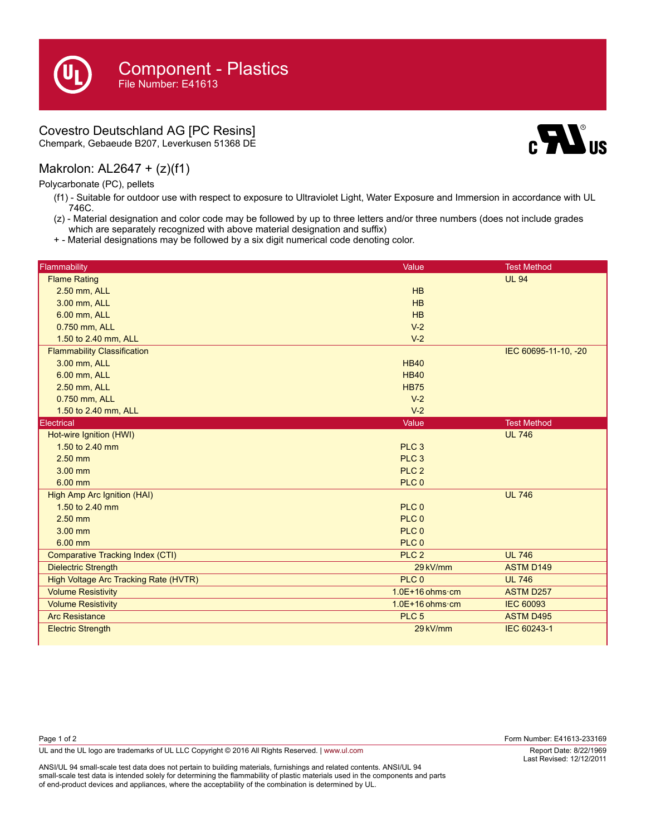## Covestro Deutschland AG [PC Resins]

Chempark, Gebaeude B207, Leverkusen 51368 DE

## Makrolon: AL2647 + (z)(f1)

Polycarbonate (PC), pellets

- (f1) Suitable for outdoor use with respect to exposure to Ultraviolet Light, Water Exposure and Immersion in accordance with UL 746C.
- (z) Material designation and color code may be followed by up to three letters and/or three numbers (does not include grades which are separately recognized with above material designation and suffix)
- + Material designations may be followed by a six digit numerical code denoting color.

| Flammability                                 | Value                     | <b>Test Method</b>   |
|----------------------------------------------|---------------------------|----------------------|
| <b>Flame Rating</b>                          |                           | <b>UL 94</b>         |
| 2.50 mm, ALL                                 | HB                        |                      |
| 3.00 mm, ALL                                 | HB                        |                      |
| 6.00 mm, ALL                                 | HB                        |                      |
| 0.750 mm, ALL                                | $V-2$                     |                      |
| 1.50 to 2.40 mm, ALL                         | $V-2$                     |                      |
| <b>Flammability Classification</b>           |                           | IEC 60695-11-10, -20 |
| 3.00 mm, ALL                                 | <b>HB40</b>               |                      |
| 6.00 mm, ALL                                 | <b>HB40</b>               |                      |
| 2.50 mm, ALL                                 | <b>HB75</b>               |                      |
| 0.750 mm, ALL                                | $V-2$                     |                      |
| 1.50 to 2.40 mm, ALL                         | $V-2$                     |                      |
| <b>Electrical</b>                            | Value                     | <b>Test Method</b>   |
| Hot-wire Ignition (HWI)                      |                           | <b>UL 746</b>        |
| 1.50 to 2.40 mm                              | PLC <sub>3</sub>          |                      |
| $2.50$ mm                                    | PLC <sub>3</sub>          |                      |
| $3.00$ mm                                    | PLC <sub>2</sub>          |                      |
| 6.00 mm                                      | PLC <sub>0</sub>          |                      |
| High Amp Arc Ignition (HAI)                  |                           | <b>UL 746</b>        |
| 1.50 to 2.40 mm                              | PLC <sub>0</sub>          |                      |
| $2.50$ mm                                    | PLC <sub>0</sub>          |                      |
| $3.00$ mm                                    | PLC <sub>0</sub>          |                      |
| 6.00 mm                                      | PLC <sub>0</sub>          |                      |
| <b>Comparative Tracking Index (CTI)</b>      | PLC <sub>2</sub>          | <b>UL 746</b>        |
| <b>Dielectric Strength</b>                   | 29 kV/mm                  | <b>ASTM D149</b>     |
| <b>High Voltage Arc Tracking Rate (HVTR)</b> | PLC <sub>0</sub>          | <b>UL 746</b>        |
| <b>Volume Resistivity</b>                    | $1.0E+16$ ohms $\cdot$ cm | <b>ASTM D257</b>     |
| <b>Volume Resistivity</b>                    | $1.0E+16$ ohms $\cdot$ cm | <b>IEC 60093</b>     |
| <b>Arc Resistance</b>                        | PLC <sub>5</sub>          | <b>ASTM D495</b>     |
| <b>Electric Strength</b>                     | 29 kV/mm                  | IEC 60243-1          |

ANSI/UL 94 small-scale test data does not pertain to building materials, furnishings and related contents. ANSI/UL 94 small-scale test data is intended solely for determining the flammability of plastic materials used in the components and parts of end-product devices and appliances, where the acceptability of the combination is determined by UL.